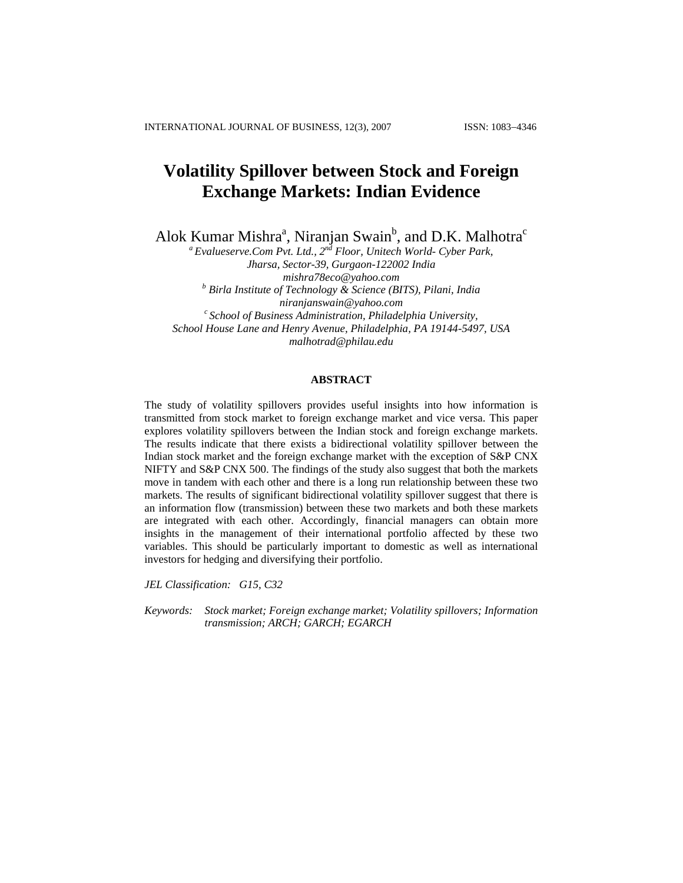# **Volatility Spillover between Stock and Foreign Exchange Markets: Indian Evidence**

Alok Kumar Mishra<sup>a</sup>, Niranjan Swain<sup>b</sup>, and D.K. Malhotra<sup>c</sup>

*a Evalueserve.Com Pvt. Ltd., 2nd Floor, Unitech World- Cyber Park, Jharsa, Sector-39, Gurgaon-122002 India [mishra78eco@yahoo.com](mailto:mishra78eco@yahoo.com) <sup>b</sup> Birla Institute of Technology & Science (BITS), Pilani, India [niranjanswain@yahoo.com](mailto:niranjanswain@yahoo.com) c School of Business Administration, Philadelphia University, School House Lane and Henry Avenue, Philadelphia, PA 19144-5497, USA [malhotrad@philau.edu](mailto:malhotrad@philau.edu)*

# **ABSTRACT**

The study of volatility spillovers provides useful insights into how information is transmitted from stock market to foreign exchange market and vice versa. This paper explores volatility spillovers between the Indian stock and foreign exchange markets. The results indicate that there exists a bidirectional volatility spillover between the Indian stock market and the foreign exchange market with the exception of S&P CNX NIFTY and S&P CNX 500. The findings of the study also suggest that both the markets move in tandem with each other and there is a long run relationship between these two markets. The results of significant bidirectional volatility spillover suggest that there is an information flow (transmission) between these two markets and both these markets are integrated with each other. Accordingly, financial managers can obtain more insights in the management of their international portfolio affected by these two variables. This should be particularly important to domestic as well as international investors for hedging and diversifying their portfolio.

*JEL Classification: G15, C32* 

*Keywords: Stock market; Foreign exchange market; Volatility spillovers; Information transmission; ARCH; GARCH; EGARCH*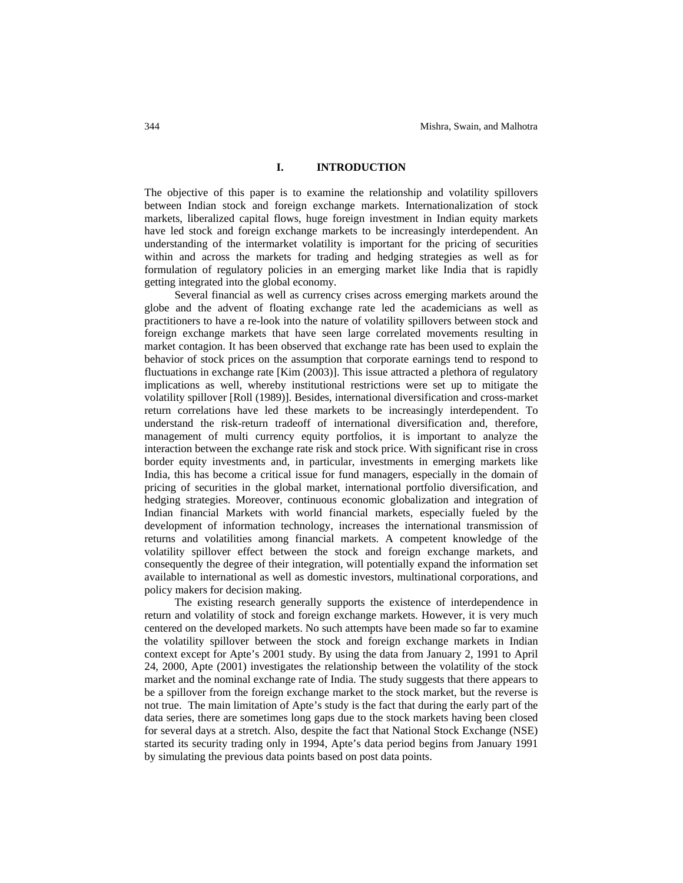## **I. INTRODUCTION**

The objective of this paper is to examine the relationship and volatility spillovers between Indian stock and foreign exchange markets. Internationalization of stock markets, liberalized capital flows, huge foreign investment in Indian equity markets have led stock and foreign exchange markets to be increasingly interdependent. An understanding of the intermarket volatility is important for the pricing of securities within and across the markets for trading and hedging strategies as well as for formulation of regulatory policies in an emerging market like India that is rapidly getting integrated into the global economy.

Several financial as well as currency crises across emerging markets around the globe and the advent of floating exchange rate led the academicians as well as practitioners to have a re-look into the nature of volatility spillovers between stock and foreign exchange markets that have seen large correlated movements resulting in market contagion. It has been observed that exchange rate has been used to explain the behavior of stock prices on the assumption that corporate earnings tend to respond to fluctuations in exchange rate [Kim (2003)]. This issue attracted a plethora of regulatory implications as well, whereby institutional restrictions were set up to mitigate the volatility spillover [Roll (1989)]. Besides, international diversification and cross-market return correlations have led these markets to be increasingly interdependent. To understand the risk-return tradeoff of international diversification and, therefore, management of multi currency equity portfolios, it is important to analyze the interaction between the exchange rate risk and stock price. With significant rise in cross border equity investments and, in particular, investments in emerging markets like India, this has become a critical issue for fund managers, especially in the domain of pricing of securities in the global market, international portfolio diversification, and hedging strategies. Moreover, continuous economic globalization and integration of Indian financial Markets with world financial markets, especially fueled by the development of information technology, increases the international transmission of returns and volatilities among financial markets. A competent knowledge of the volatility spillover effect between the stock and foreign exchange markets, and consequently the degree of their integration, will potentially expand the information set available to international as well as domestic investors, multinational corporations, and policy makers for decision making.

The existing research generally supports the existence of interdependence in return and volatility of stock and foreign exchange markets. However, it is very much centered on the developed markets. No such attempts have been made so far to examine the volatility spillover between the stock and foreign exchange markets in Indian context except for Apte's 2001 study. By using the data from January 2, 1991 to April 24, 2000, Apte (2001) investigates the relationship between the volatility of the stock market and the nominal exchange rate of India. The study suggests that there appears to be a spillover from the foreign exchange market to the stock market, but the reverse is not true. The main limitation of Apte's study is the fact that during the early part of the data series, there are sometimes long gaps due to the stock markets having been closed for several days at a stretch. Also, despite the fact that National Stock Exchange (NSE) started its security trading only in 1994, Apte's data period begins from January 1991 by simulating the previous data points based on post data points.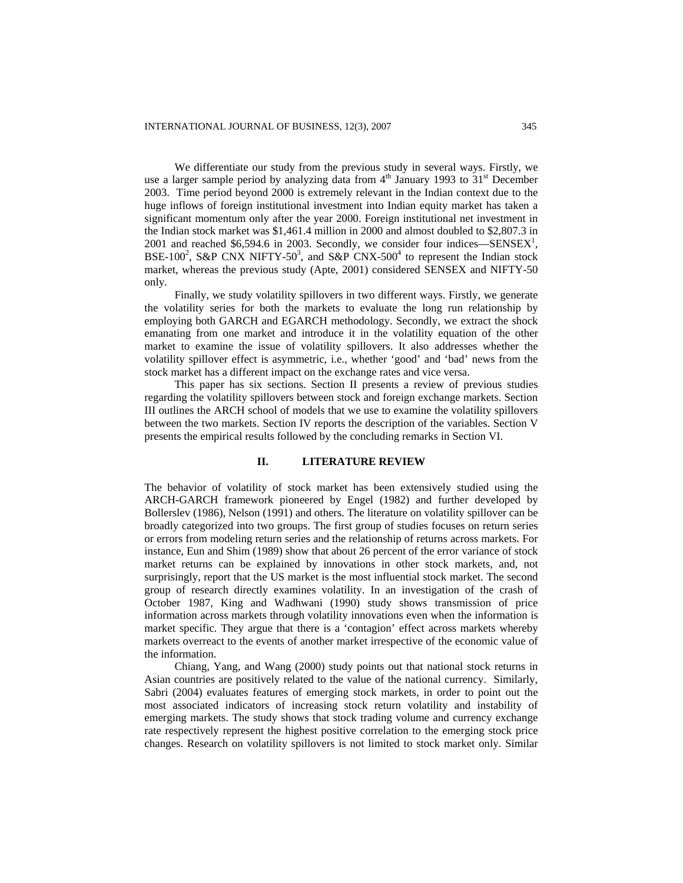We differentiate our study from the previous study in several ways. Firstly, we use a larger sample period by analyzing data from  $4<sup>th</sup>$  January 1993 to 31<sup>st</sup> December 2003. Time period beyond 2000 is extremely relevant in the Indian context due to the huge inflows of foreign institutional investment into Indian equity market has taken a significant momentum only after the year 2000. Foreign institutional net investment in the Indian stock market was \$1,461.4 million in 2000 and almost doubled to \$2,807.3 in 2001 and reached \$6,594.6 in 2003. Secondly, we consider four indices—SENSEX<sup>1</sup>, BSE-100<sup>2</sup>, S&P CNX NIFTY-50<sup>3</sup>, and S&P CNX-500<sup>4</sup> to represent the Indian stock market, whereas the previous study (Apte, 2001) considered SENSEX and NIFTY-50 only.

Finally, we study volatility spillovers in two different ways. Firstly, we generate the volatility series for both the markets to evaluate the long run relationship by employing both GARCH and EGARCH methodology. Secondly, we extract the shock emanating from one market and introduce it in the volatility equation of the other market to examine the issue of volatility spillovers. It also addresses whether the volatility spillover effect is asymmetric, i.e., whether 'good' and 'bad' news from the stock market has a different impact on the exchange rates and vice versa.

This paper has six sections. Section II presents a review of previous studies regarding the volatility spillovers between stock and foreign exchange markets. Section III outlines the ARCH school of models that we use to examine the volatility spillovers between the two markets. Section IV reports the description of the variables. Section V presents the empirical results followed by the concluding remarks in Section VI.

### **II. LITERATURE REVIEW**

The behavior of volatility of stock market has been extensively studied using the ARCH-GARCH framework pioneered by Engel (1982) and further developed by Bollerslev (1986), Nelson (1991) and others. The literature on volatility spillover can be broadly categorized into two groups. The first group of studies focuses on return series or errors from modeling return series and the relationship of returns across markets**.** For instance, Eun and Shim (1989) show that about 26 percent of the error variance of stock market returns can be explained by innovations in other stock markets, and, not surprisingly, report that the US market is the most influential stock market. The second group of research directly examines volatility. In an investigation of the crash of October 1987, King and Wadhwani (1990) study shows transmission of price information across markets through volatility innovations even when the information is market specific. They argue that there is a 'contagion' effect across markets whereby markets overreact to the events of another market irrespective of the economic value of the information.

Chiang, Yang, and Wang (2000) study points out that national stock returns in Asian countries are positively related to the value of the national currency. Similarly, Sabri (2004) evaluates features of emerging stock markets, in order to point out the most associated indicators of increasing stock return volatility and instability of emerging markets. The study shows that stock trading volume and currency exchange rate respectively represent the highest positive correlation to the emerging stock price changes. Research on volatility spillovers is not limited to stock market only. Similar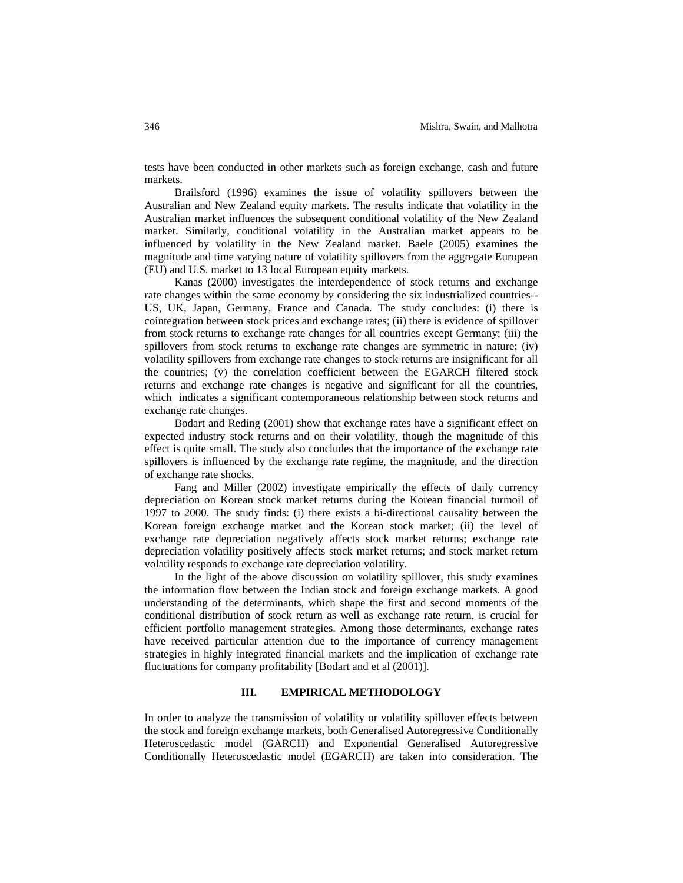tests have been conducted in other markets such as foreign exchange, cash and future markets.

Brailsford (1996) examines the issue of volatility spillovers between the Australian and New Zealand equity markets. The results indicate that volatility in the Australian market influences the subsequent conditional volatility of the New Zealand market. Similarly, conditional volatility in the Australian market appears to be influenced by volatility in the New Zealand market. Baele (2005) examines the magnitude and time varying nature of volatility spillovers from the aggregate European (EU) and U.S. market to 13 local European equity markets.

Kanas (2000) investigates the interdependence of stock returns and exchange rate changes within the same economy by considering the six industrialized countries-- US, UK, Japan, Germany, France and Canada. The study concludes: (i) there is cointegration between stock prices and exchange rates; (ii) there is evidence of spillover from stock returns to exchange rate changes for all countries except Germany; (iii) the spillovers from stock returns to exchange rate changes are symmetric in nature; (iv) volatility spillovers from exchange rate changes to stock returns are insignificant for all the countries; (v) the correlation coefficient between the EGARCH filtered stock returns and exchange rate changes is negative and significant for all the countries, which indicates a significant contemporaneous relationship between stock returns and exchange rate changes.

Bodart and Reding (2001) show that exchange rates have a significant effect on expected industry stock returns and on their volatility, though the magnitude of this effect is quite small. The study also concludes that the importance of the exchange rate spillovers is influenced by the exchange rate regime, the magnitude, and the direction of exchange rate shocks.

Fang and Miller (2002) investigate empirically the effects of daily currency depreciation on Korean stock market returns during the Korean financial turmoil of 1997 to 2000. The study finds: (i) there exists a bi-directional causality between the Korean foreign exchange market and the Korean stock market; (ii) the level of exchange rate depreciation negatively affects stock market returns; exchange rate depreciation volatility positively affects stock market returns; and stock market return volatility responds to exchange rate depreciation volatility.

In the light of the above discussion on volatility spillover, this study examines the information flow between the Indian stock and foreign exchange markets. A good understanding of the determinants, which shape the first and second moments of the conditional distribution of stock return as well as exchange rate return, is crucial for efficient portfolio management strategies. Among those determinants, exchange rates have received particular attention due to the importance of currency management strategies in highly integrated financial markets and the implication of exchange rate fluctuations for company profitability [Bodart and et al (2001)].

# **III. EMPIRICAL METHODOLOGY**

In order to analyze the transmission of volatility or volatility spillover effects between the stock and foreign exchange markets, both Generalised Autoregressive Conditionally Heteroscedastic model (GARCH) and Exponential Generalised Autoregressive Conditionally Heteroscedastic model (EGARCH) are taken into consideration. The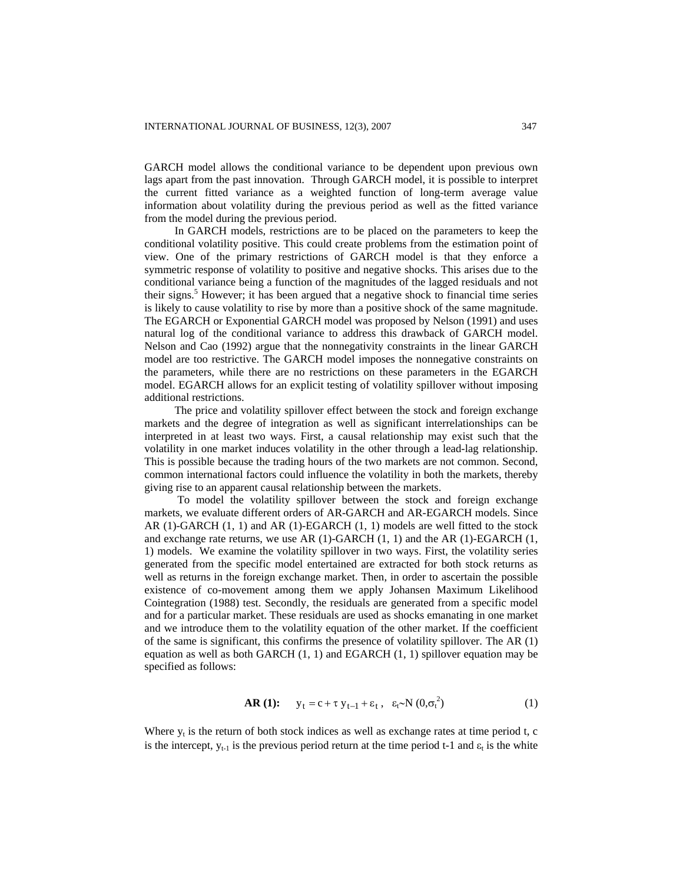GARCH model allows the conditional variance to be dependent upon previous own lags apart from the past innovation. Through GARCH model, it is possible to interpret the current fitted variance as a weighted function of long-term average value information about volatility during the previous period as well as the fitted variance from the model during the previous period.

In GARCH models, restrictions are to be placed on the parameters to keep the conditional volatility positive. This could create problems from the estimation point of view. One of the primary restrictions of GARCH model is that they enforce a symmetric response of volatility to positive and negative shocks. This arises due to the conditional variance being a function of the magnitudes of the lagged residuals and not their signs.<sup>5</sup> However; it has been argued that a negative shock to financial time series is likely to cause volatility to rise by more than a positive shock of the same magnitude. The EGARCH or Exponential GARCH model was proposed by Nelson (1991) and uses natural log of the conditional variance to address this drawback of GARCH model. Nelson and Cao (1992) argue that the nonnegativity constraints in the linear GARCH model are too restrictive. The GARCH model imposes the nonnegative constraints on the parameters, while there are no restrictions on these parameters in the EGARCH model. EGARCH allows for an explicit testing of volatility spillover without imposing additional restrictions.

The price and volatility spillover effect between the stock and foreign exchange markets and the degree of integration as well as significant interrelationships can be interpreted in at least two ways. First, a causal relationship may exist such that the volatility in one market induces volatility in the other through a lead-lag relationship. This is possible because the trading hours of the two markets are not common. Second, common international factors could influence the volatility in both the markets, thereby giving rise to an apparent causal relationship between the markets.

 To model the volatility spillover between the stock and foreign exchange markets, we evaluate different orders of AR-GARCH and AR-EGARCH models. Since AR (1)-GARCH (1, 1) and AR (1)-EGARCH (1, 1) models are well fitted to the stock and exchange rate returns, we use  $AR(1)-GARCH(1, 1)$  and the  $AR(1)-EGARCH(1, 1)$ 1) models. We examine the volatility spillover in two ways. First, the volatility series generated from the specific model entertained are extracted for both stock returns as well as returns in the foreign exchange market. Then, in order to ascertain the possible existence of co-movement among them we apply Johansen Maximum Likelihood Cointegration (1988) test. Secondly, the residuals are generated from a specific model and for a particular market. These residuals are used as shocks emanating in one market and we introduce them to the volatility equation of the other market. If the coefficient of the same is significant, this confirms the presence of volatility spillover. The AR (1) equation as well as both GARCH (1, 1) and EGARCH (1, 1) spillover equation may be specified as follows:

$$
\textbf{AR (1):} \qquad \mathbf{y}_t = \mathbf{c} + \tau \; \mathbf{y}_{t-1} + \varepsilon_t \; , \quad \varepsilon_t \sim \mathbf{N} \; (0, \sigma_t^2) \tag{1}
$$

Where  $y_t$  is the return of both stock indices as well as exchange rates at time period t, c is the intercept,  $y_{t-1}$  is the previous period return at the time period t-1 and  $\varepsilon_t$  is the white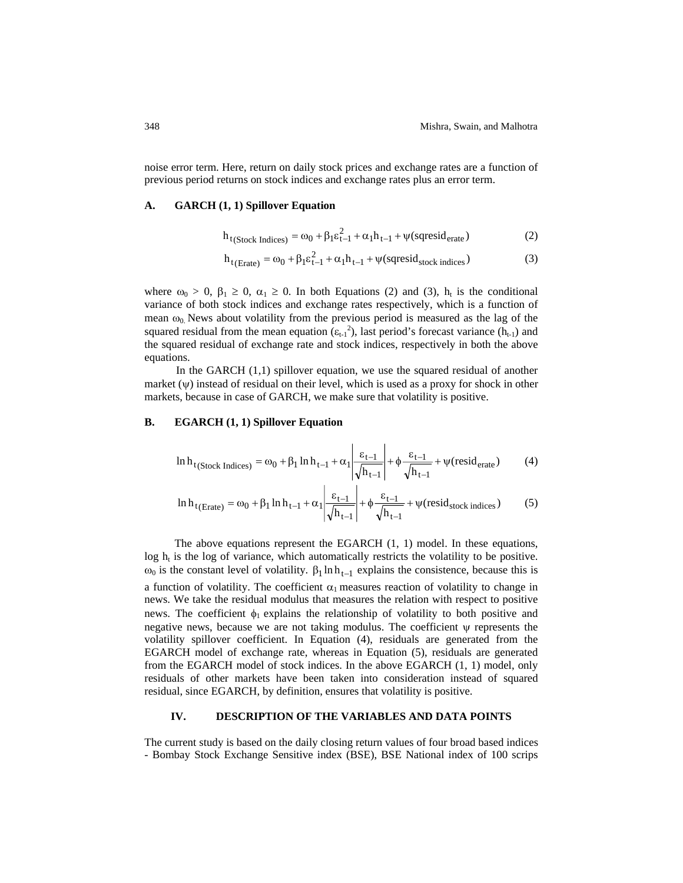noise error term. Here, return on daily stock prices and exchange rates are a function of previous period returns on stock indices and exchange rates plus an error term.

#### **A. GARCH (1, 1) Spillover Equation**

$$
h_{t(\text{Stock Indices})} = \omega_0 + \beta_1 \varepsilon_{t-1}^2 + \alpha_1 h_{t-1} + \psi(\text{sqresid}_{\text{erate}})
$$
 (2)

$$
h_{t(Erate)} = \omega_0 + \beta_1 \varepsilon_{t-1}^2 + \alpha_1 h_{t-1} + \psi(\text{sgressid}_{stock \text{ indices}})
$$
 (3)

where  $\omega_0 > 0$ ,  $\beta_1 \ge 0$ ,  $\alpha_1 \ge 0$ . In both Equations (2) and (3),  $h_t$  is the conditional variance of both stock indices and exchange rates respectively, which is a function of mean  $\omega_0$ . News about volatility from the previous period is measured as the lag of the squared residual from the mean equation  $(\epsilon_{t-1}^2)$ , last period's forecast variance  $(h_{t-1})$  and the squared residual of exchange rate and stock indices, respectively in both the above equations.

In the GARCH (1,1) spillover equation, we use the squared residual of another market  $(\psi)$  instead of residual on their level, which is used as a proxy for shock in other markets, because in case of GARCH, we make sure that volatility is positive.

# **B. EGARCH (1, 1) Spillover Equation**

$$
\ln h_{t(\text{Stock Indices})} = \omega_0 + \beta_1 \ln h_{t-1} + \alpha_1 \left| \frac{\varepsilon_{t-1}}{\sqrt{h_{t-1}}} \right| + \phi \frac{\varepsilon_{t-1}}{\sqrt{h_{t-1}}} + \psi(\text{resid}_{\text{erate}}) \tag{4}
$$

$$
\ln h_{t(\text{Erate})} = \omega_0 + \beta_1 \ln h_{t-1} + \alpha_1 \left| \frac{\varepsilon_{t-1}}{\sqrt{h_{t-1}}} \right| + \phi \frac{\varepsilon_{t-1}}{\sqrt{h_{t-1}}} + \psi(\text{resid}_{\text{stock indices}}) \tag{5}
$$

The above equations represent the EGARCH (1, 1) model. In these equations,  $\log h_t$  is the log of variance, which automatically restricts the volatility to be positive. ω<sub>0</sub> is the constant level of volatility.  $β_1 ln h_{t-1}$  explains the consistence, because this is a function of volatility. The coefficient  $\alpha_1$  measures reaction of volatility to change in news. We take the residual modulus that measures the relation with respect to positive news. The coefficient  $\phi_1$  explains the relationship of volatility to both positive and negative news, because we are not taking modulus. The coefficient ψ represents the volatility spillover coefficient. In Equation (4), residuals are generated from the EGARCH model of exchange rate, whereas in Equation (5), residuals are generated from the EGARCH model of stock indices. In the above EGARCH (1, 1) model, only residuals of other markets have been taken into consideration instead of squared residual, since EGARCH, by definition, ensures that volatility is positive.

# **IV. DESCRIPTION OF THE VARIABLES AND DATA POINTS**

The current study is based on the daily closing return values of four broad based indices - Bombay Stock Exchange Sensitive index (BSE), BSE National index of 100 scrips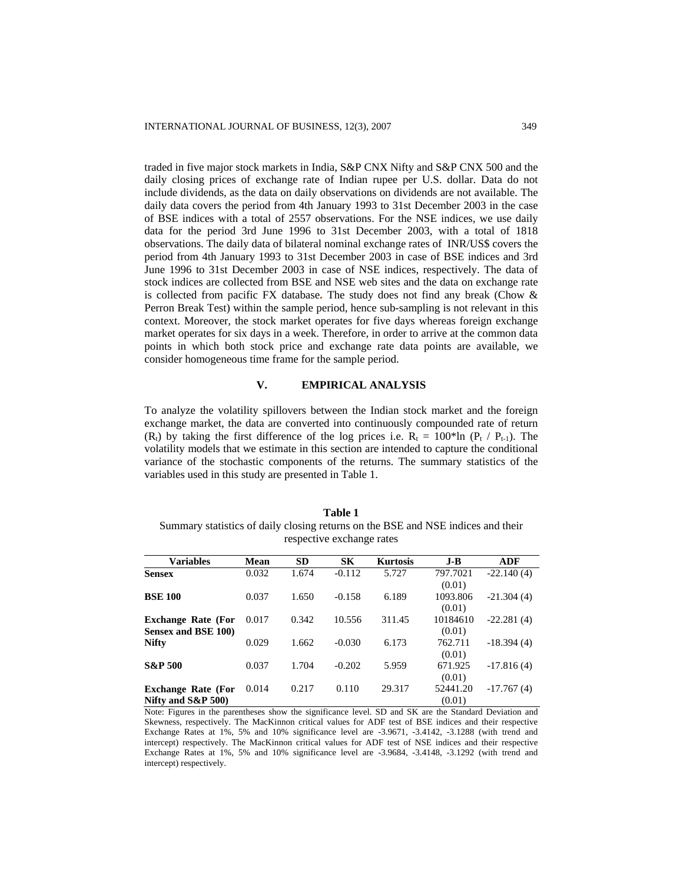traded in five major stock markets in India, S&P CNX Nifty and S&P CNX 500 and the daily closing prices of exchange rate of Indian rupee per U.S. dollar. Data do not include dividends, as the data on daily observations on dividends are not available. The daily data covers the period from 4th January 1993 to 31st December 2003 in the case of BSE indices with a total of 2557 observations. For the NSE indices, we use daily data for the period 3rd June 1996 to 31st December 2003, with a total of 1818 observations. The daily data of bilateral nominal exchange rates of INR/US\$ covers the period from 4th January 1993 to 31st December 2003 in case of BSE indices and 3rd June 1996 to 31st December 2003 in case of NSE indices, respectively. The data of stock indices are collected from BSE and NSE web sites and the data on exchange rate is collected from pacific FX database**.** The study does not find any break (Chow & Perron Break Test) within the sample period, hence sub-sampling is not relevant in this context. Moreover, the stock market operates for five days whereas foreign exchange market operates for six days in a week. Therefore, in order to arrive at the common data points in which both stock price and exchange rate data points are available, we consider homogeneous time frame for the sample period.

#### **V. EMPIRICAL ANALYSIS**

To analyze the volatility spillovers between the Indian stock market and the foreign exchange market, the data are converted into continuously compounded rate of return  $(R<sub>1</sub>)$  by taking the first difference of the log prices i.e.  $R<sub>t</sub> = 100*ln (P<sub>t</sub> / P<sub>t-1</sub>)$ . The volatility models that we estimate in this section are intended to capture the conditional variance of the stochastic components of the returns. The summary statistics of the variables used in this study are presented in Table 1.

### **Table 1**

Summary statistics of daily closing returns on the BSE and NSE indices and their respective exchange rates

| <b>Variables</b>          | Mean  | <b>SD</b> | <b>SK</b> | <b>Kurtosis</b> | $J-B$    | ADF          |
|---------------------------|-------|-----------|-----------|-----------------|----------|--------------|
| <b>Sensex</b>             | 0.032 | 1.674     | $-0.112$  | 5.727           | 797.7021 | $-22.140(4)$ |
|                           |       |           |           |                 | (0.01)   |              |
| <b>BSE 100</b>            | 0.037 | 1.650     | $-0.158$  | 6.189           | 1093.806 | $-21.304(4)$ |
|                           |       |           |           |                 | (0.01)   |              |
| <b>Exchange Rate (For</b> | 0.017 | 0.342     | 10.556    | 311.45          | 10184610 | $-22.281(4)$ |
| Sensex and BSE 100)       |       |           |           |                 | (0.01)   |              |
| <b>Nifty</b>              | 0.029 | 1.662     | $-0.030$  | 6.173           | 762.711  | $-18.394(4)$ |
|                           |       |           |           |                 | (0.01)   |              |
| <b>S&amp;P 500</b>        | 0.037 | 1.704     | $-0.202$  | 5.959           | 671.925  | $-17.816(4)$ |
|                           |       |           |           |                 | (0.01)   |              |
| <b>Exchange Rate (For</b> | 0.014 | 0.217     | 0.110     | 29.317          | 52441.20 | $-17.767(4)$ |
| Nifty and $S\&P 500$      |       |           |           |                 | (0.01)   |              |

Note: Figures in the parentheses show the significance level. SD and SK are the Standard Deviation and Skewness, respectively. The MacKinnon critical values for ADF test of BSE indices and their respective Exchange Rates at 1%, 5% and 10% significance level are -3.9671, -3.4142, -3.1288 (with trend and intercept) respectively. The MacKinnon critical values for ADF test of NSE indices and their respective Exchange Rates at 1%, 5% and 10% significance level are -3.9684, -3.4148, -3.1292 (with trend and intercept) respectively.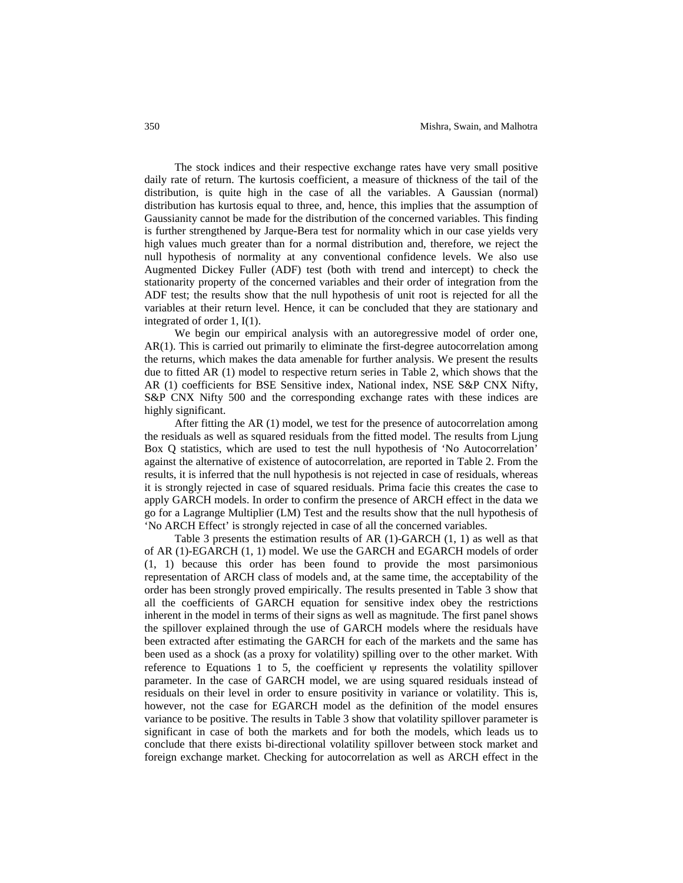The stock indices and their respective exchange rates have very small positive daily rate of return. The kurtosis coefficient, a measure of thickness of the tail of the distribution, is quite high in the case of all the variables. A Gaussian (normal) distribution has kurtosis equal to three, and, hence, this implies that the assumption of Gaussianity cannot be made for the distribution of the concerned variables. This finding is further strengthened by Jarque-Bera test for normality which in our case yields very high values much greater than for a normal distribution and, therefore, we reject the null hypothesis of normality at any conventional confidence levels. We also use Augmented Dickey Fuller (ADF) test (both with trend and intercept) to check the stationarity property of the concerned variables and their order of integration from the ADF test; the results show that the null hypothesis of unit root is rejected for all the variables at their return level. Hence, it can be concluded that they are stationary and integrated of order 1, I(1).

We begin our empirical analysis with an autoregressive model of order one, AR(1). This is carried out primarily to eliminate the first-degree autocorrelation among the returns, which makes the data amenable for further analysis. We present the results due to fitted AR (1) model to respective return series in Table 2, which shows that the AR (1) coefficients for BSE Sensitive index, National index, NSE S&P CNX Nifty, S&P CNX Nifty 500 and the corresponding exchange rates with these indices are highly significant.

After fitting the AR (1) model, we test for the presence of autocorrelation among the residuals as well as squared residuals from the fitted model. The results from Ljung Box Q statistics, which are used to test the null hypothesis of 'No Autocorrelation' against the alternative of existence of autocorrelation, are reported in Table 2. From the results, it is inferred that the null hypothesis is not rejected in case of residuals, whereas it is strongly rejected in case of squared residuals. Prima facie this creates the case to apply GARCH models. In order to confirm the presence of ARCH effect in the data we go for a Lagrange Multiplier (LM) Test and the results show that the null hypothesis of 'No ARCH Effect' is strongly rejected in case of all the concerned variables.

Table 3 presents the estimation results of AR (1)-GARCH (1, 1) as well as that of AR (1)-EGARCH (1, 1) model. We use the GARCH and EGARCH models of order (1, 1) because this order has been found to provide the most parsimonious representation of ARCH class of models and, at the same time, the acceptability of the order has been strongly proved empirically. The results presented in Table 3 show that all the coefficients of GARCH equation for sensitive index obey the restrictions inherent in the model in terms of their signs as well as magnitude. The first panel shows the spillover explained through the use of GARCH models where the residuals have been extracted after estimating the GARCH for each of the markets and the same has been used as a shock (as a proxy for volatility) spilling over to the other market. With reference to Equations 1 to 5, the coefficient  $\psi$  represents the volatility spillover parameter. In the case of GARCH model, we are using squared residuals instead of residuals on their level in order to ensure positivity in variance or volatility. This is, however, not the case for EGARCH model as the definition of the model ensures variance to be positive. The results in Table 3 show that volatility spillover parameter is significant in case of both the markets and for both the models, which leads us to conclude that there exists bi-directional volatility spillover between stock market and foreign exchange market. Checking for autocorrelation as well as ARCH effect in the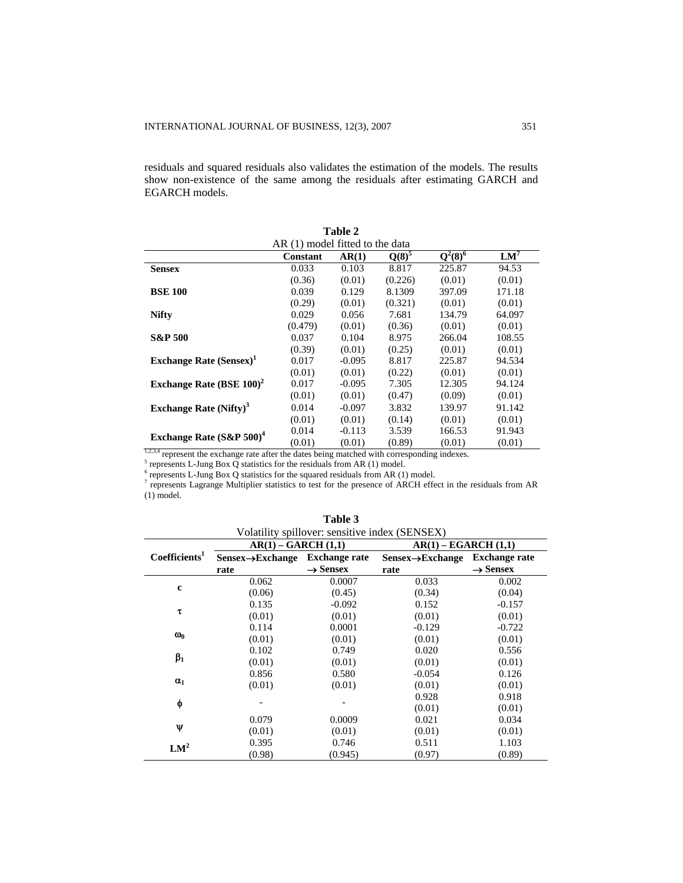residuals and squared residuals also validates the estimation of the models. The results show non-existence of the same among the residuals after estimating GARCH and EGARCH models.

**Table 2** 

|                                                                                                            | AR (1) model fitted to the data |          |            |            |        |
|------------------------------------------------------------------------------------------------------------|---------------------------------|----------|------------|------------|--------|
|                                                                                                            | Constant                        | AR(1)    | $Q(8)^{5}$ | $Q^2(8)^6$ | $LM^7$ |
| <b>Sensex</b>                                                                                              | 0.033                           | 0.103    | 8.817      | 225.87     | 94.53  |
|                                                                                                            | (0.36)                          | (0.01)   | (0.226)    | (0.01)     | (0.01) |
| <b>BSE 100</b>                                                                                             | 0.039                           | 0.129    | 8.1309     | 397.09     | 171.18 |
|                                                                                                            | (0.29)                          | (0.01)   | (0.321)    | (0.01)     | (0.01) |
| <b>Nifty</b>                                                                                               | 0.029                           | 0.056    | 7.681      | 134.79     | 64.097 |
|                                                                                                            | (0.479)                         | (0.01)   | (0.36)     | (0.01)     | (0.01) |
| <b>S&amp;P 500</b>                                                                                         | 0.037                           | 0.104    | 8.975      | 266.04     | 108.55 |
|                                                                                                            | (0.39)                          | (0.01)   | (0.25)     | (0.01)     | (0.01) |
| <b>Exchange Rate (Sensex)</b>                                                                              | 0.017                           | $-0.095$ | 8.817      | 225.87     | 94.534 |
|                                                                                                            | (0.01)                          | (0.01)   | (0.22)     | (0.01)     | (0.01) |
| Exchange Rate (BSE 100) <sup>2</sup>                                                                       | 0.017                           | $-0.095$ | 7.305      | 12.305     | 94.124 |
|                                                                                                            | (0.01)                          | (0.01)   | (0.47)     | (0.09)     | (0.01) |
| Exchange Rate $(Nifty)^3$                                                                                  | 0.014                           | $-0.097$ | 3.832      | 139.97     | 91.142 |
|                                                                                                            | (0.01)                          | (0.01)   | (0.14)     | (0.01)     | (0.01) |
|                                                                                                            | 0.014                           | $-0.113$ | 3.539      | 166.53     | 91.943 |
| Exchange Rate $(S\&P 500)^4$                                                                               | (0.01)                          | (0.01)   | (0.89)     | (0.01)     | (0.01) |
| 1,2,3,4 represent the exchange rate after the dates being matched with corresponding indexes.              |                                 |          |            |            |        |
| $5$ represents L-Jung Box Q statistics for the residuals from AR (1) model.                                |                                 |          |            |            |        |
| $6$ represents L-Jung Box Q statistics for the squared residuals from AR (1) model.                        |                                 |          |            |            |        |
| represents Lagrange Multiplier statistics to test for the presence of ARCH effect in the residuals from AR |                                 |          |            |            |        |

(1) model.

| Volatility spillover: sensitive index (SENSEX) |                               |                      |                               |                      |  |
|------------------------------------------------|-------------------------------|----------------------|-------------------------------|----------------------|--|
|                                                | $AR(1) - GARCH(1,1)$          |                      | $AR(1) - EGARCH (1,1)$        |                      |  |
| Coefficients <sup>1</sup>                      | $Sensex \rightarrow Exchange$ | <b>Exchange rate</b> | $Sensex \rightarrow Exchange$ | <b>Exchange rate</b> |  |
|                                                | rate                          | $\rightarrow$ Sensex | rate                          | $\rightarrow$ Sensex |  |
|                                                | 0.062                         | 0.0007               | 0.033                         | 0.002                |  |
| $\mathbf c$                                    | (0.06)                        | (0.45)               | (0.34)                        | (0.04)               |  |
|                                                | 0.135                         | $-0.092$             | 0.152                         | $-0.157$             |  |
| τ                                              | (0.01)                        | (0.01)               | (0.01)                        | (0.01)               |  |
|                                                | 0.114                         | 0.0001               | $-0.129$                      | $-0.722$             |  |
| $\omega_0$                                     | (0.01)                        | (0.01)               | (0.01)                        | (0.01)               |  |
|                                                | 0.102                         | 0.749                | 0.020                         | 0.556                |  |
| $\beta_1$                                      | (0.01)                        | (0.01)               | (0.01)                        | (0.01)               |  |
|                                                | 0.856                         | 0.580                | $-0.054$                      | 0.126                |  |
| $\alpha_1$                                     | (0.01)                        | (0.01)               | (0.01)                        | (0.01)               |  |
|                                                |                               |                      | 0.928                         | 0.918                |  |
| φ                                              |                               |                      | (0.01)                        | (0.01)               |  |
|                                                | 0.079                         | 0.0009               | 0.021                         | 0.034                |  |
| Ψ                                              | (0.01)                        | (0.01)               | (0.01)                        | (0.01)               |  |
| LM <sup>2</sup>                                | 0.395                         | 0.746                | 0.511                         | 1.103                |  |
|                                                | (0.98)                        | (0.945)              | (0.97)                        | (0.89)               |  |

| anı |
|-----|
|-----|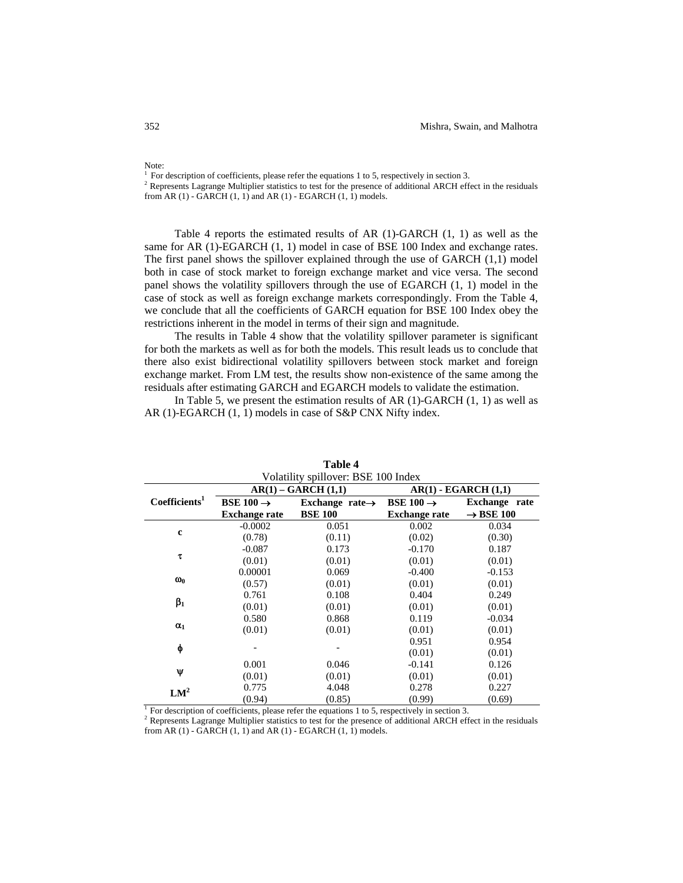$1$  For description of coefficients, please refer the equations 1 to 5, respectively in section 3. <sup>2</sup> Represents Lagrange Multiplier statistics to test for the presence of additional ARCH effect in the residuals from AR (1) - GARCH (1, 1) and AR (1) - EGARCH (1, 1) models.

Table 4 reports the estimated results of AR (1)-GARCH (1, 1) as well as the same for AR (1)-EGARCH (1, 1) model in case of BSE 100 Index and exchange rates. The first panel shows the spillover explained through the use of GARCH (1,1) model both in case of stock market to foreign exchange market and vice versa. The second panel shows the volatility spillovers through the use of EGARCH (1, 1) model in the case of stock as well as foreign exchange markets correspondingly. From the Table 4, we conclude that all the coefficients of GARCH equation for BSE 100 Index obey the restrictions inherent in the model in terms of their sign and magnitude.

 The results in Table 4 show that the volatility spillover parameter is significant for both the markets as well as for both the models. This result leads us to conclude that there also exist bidirectional volatility spillovers between stock market and foreign exchange market. From LM test, the results show non-existence of the same among the residuals after estimating GARCH and EGARCH models to validate the estimation.

In Table 5, we present the estimation results of AR  $(1)$ -GARCH  $(1, 1)$  as well as AR (1)-EGARCH (1, 1) models in case of S&P CNX Nifty index.

| Volatility spillover: BSE 100 Index |                       |                             |                       |                          |  |
|-------------------------------------|-----------------------|-----------------------------|-----------------------|--------------------------|--|
|                                     |                       | $AR(1) - GARCH(1,1)$        |                       | $AR(1)$ - EGARCH $(1,1)$ |  |
| Coefficients <sup>1</sup>           | BSE 100 $\rightarrow$ | Exchange rate $\rightarrow$ | BSE 100 $\rightarrow$ | Exchange rate            |  |
|                                     | <b>Exchange rate</b>  | <b>BSE 100</b>              | <b>Exchange rate</b>  | $\rightarrow$ BSE 100    |  |
|                                     | $-0.0002$             | 0.051                       | 0.002                 | 0.034                    |  |
| $\mathbf c$                         | (0.78)                | (0.11)                      | (0.02)                | (0.30)                   |  |
|                                     | $-0.087$              | 0.173                       | $-0.170$              | 0.187                    |  |
| τ                                   | (0.01)                | (0.01)                      | (0.01)                | (0.01)                   |  |
|                                     | 0.00001               | 0.069                       | $-0.400$              | $-0.153$                 |  |
| $\omega_0$                          | (0.57)                | (0.01)                      | (0.01)                | (0.01)                   |  |
|                                     | 0.761                 | 0.108                       | 0.404                 | 0.249                    |  |
| $\beta_1$                           | (0.01)                | (0.01)                      | (0.01)                | (0.01)                   |  |
|                                     | 0.580                 | 0.868                       | 0.119                 | $-0.034$                 |  |
| $\alpha_1$                          | (0.01)                | (0.01)                      | (0.01)                | (0.01)                   |  |
|                                     |                       |                             | 0.951                 | 0.954                    |  |
| φ                                   |                       |                             | (0.01)                | (0.01)                   |  |
|                                     | 0.001                 | 0.046                       | $-0.141$              | 0.126                    |  |
| Ψ                                   | (0.01)                | (0.01)                      | (0.01)                | (0.01)                   |  |
| LM <sup>2</sup>                     | 0.775                 | 4.048                       | 0.278                 | 0.227                    |  |
|                                     | (0.94)                | (0.85)                      | (0.99)                | (0.69)                   |  |

**Table 4** 

<sup>1</sup> For description of coefficients, please refer the equations 1 to 5, respectively in section 3.

<sup>2</sup> Represents Lagrange Multiplier statistics to test for the presence of additional ARCH effect in the residuals from AR (1) - GARCH (1, 1) and AR (1) - EGARCH (1, 1) models.

Note: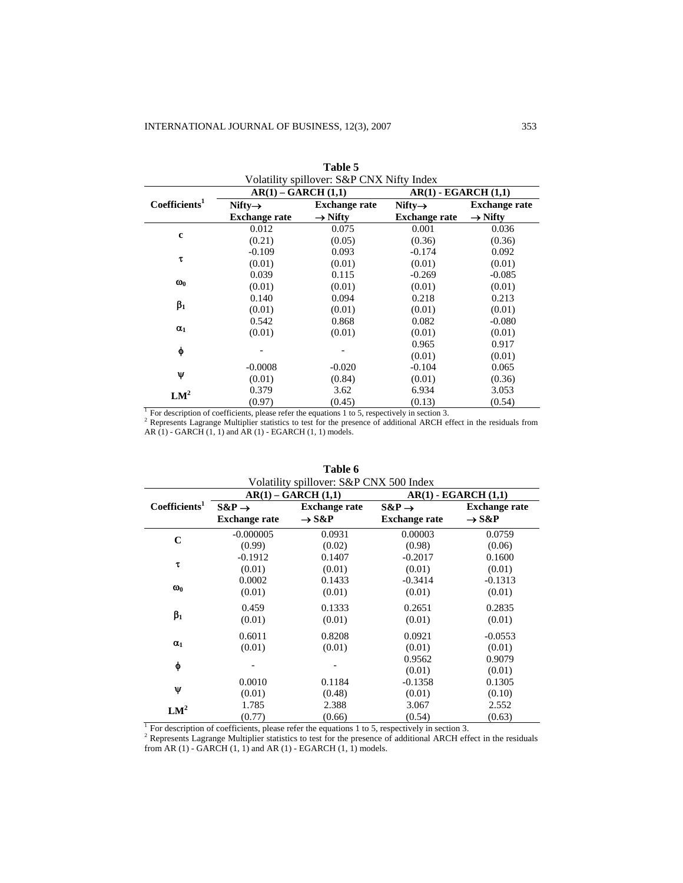|                           | $AR(1) - GARCH(1,1)$                        |                                             | $AR(1)$ - EGARCH $(1,1)$                    |                                             |
|---------------------------|---------------------------------------------|---------------------------------------------|---------------------------------------------|---------------------------------------------|
| Coefficients <sup>1</sup> | Nifty $\rightarrow$<br><b>Exchange rate</b> | <b>Exchange rate</b><br>$\rightarrow$ Nifty | Nifty $\rightarrow$<br><b>Exchange rate</b> | <b>Exchange rate</b><br>$\rightarrow$ Nifty |
|                           | 0.012                                       | 0.075                                       | 0.001                                       | 0.036                                       |
| $\mathbf c$               | (0.21)                                      | (0.05)                                      | (0.36)                                      | (0.36)                                      |
|                           | $-0.109$                                    | 0.093                                       | $-0.174$                                    | 0.092                                       |
| τ                         | (0.01)                                      | (0.01)                                      | (0.01)                                      | (0.01)                                      |
|                           | 0.039                                       | 0.115                                       | $-0.269$                                    | $-0.085$                                    |
| $\omega_0$                | (0.01)                                      | (0.01)                                      | (0.01)                                      | (0.01)                                      |
|                           | 0.140                                       | 0.094                                       | 0.218                                       | 0.213                                       |
| $\beta_1$                 | (0.01)                                      | (0.01)                                      | (0.01)                                      | (0.01)                                      |
|                           | 0.542                                       | 0.868                                       | 0.082                                       | $-0.080$                                    |
| $\alpha_1$                | (0.01)                                      | (0.01)                                      | (0.01)                                      | (0.01)                                      |
|                           |                                             |                                             | 0.965                                       | 0.917                                       |
| φ                         |                                             |                                             | (0.01)                                      | (0.01)                                      |
|                           | $-0.0008$                                   | $-0.020$                                    | $-0.104$                                    | 0.065                                       |
| Ψ                         | (0.01)                                      | (0.84)                                      | (0.01)                                      | (0.36)                                      |
|                           | 0.379                                       | 3.62                                        | 6.934                                       | 3.053                                       |
| LM <sup>2</sup>           | (0.97)                                      | (0.45)                                      | (0.13)                                      | (0.54)                                      |

|   | Table 5                   |  |
|---|---------------------------|--|
| . | $CCD$ $CUTT$ $T^{\prime}$ |  |

AR (1) - GARCH (1, 1) and AR (1) - EGARCH (1, 1) models.

|                           | VOIAUIIIV SPIIIOVEI: S&P UNA 500 INGEX<br>$AR(1) - GARCH(1,1)$<br>$AR(1)$ - EGARCH $(1,1)$ |                      |                      |                      |  |
|---------------------------|--------------------------------------------------------------------------------------------|----------------------|----------------------|----------------------|--|
| Coefficients <sup>1</sup> | $S\&P \rightarrow$                                                                         | <b>Exchange rate</b> | $S\&P \rightarrow$   | <b>Exchange rate</b> |  |
|                           | <b>Exchange rate</b>                                                                       | $\rightarrow$ S&P    | <b>Exchange rate</b> | $\rightarrow$ S&P    |  |
| $\mathbf C$               | $-0.000005$                                                                                | 0.0931               | 0.00003              | 0.0759               |  |
| τ                         | (0.99)                                                                                     | (0.02)               | (0.98)               | (0.06)               |  |
|                           | $-0.1912$                                                                                  | 0.1407               | $-0.2017$            | 0.1600               |  |
| $\omega_0$                | (0.01)                                                                                     | (0.01)               | (0.01)               | (0.01)               |  |
|                           | 0.0002                                                                                     | 0.1433               | $-0.3414$            | $-0.1313$            |  |
|                           | (0.01)                                                                                     | (0.01)               | (0.01)               | (0.01)               |  |
|                           | 0.459                                                                                      | 0.1333               | 0.2651               | 0.2835               |  |
| $\beta_1$                 | (0.01)                                                                                     | (0.01)               | (0.01)               | (0.01)               |  |
| $\alpha_1$                | 0.6011                                                                                     | 0.8208               | 0.0921               | $-0.0553$            |  |
|                           | (0.01)                                                                                     | (0.01)               | (0.01)               | (0.01)               |  |
| φ                         |                                                                                            |                      | 0.9562<br>(0.01)     | 0.9079<br>(0.01)     |  |
| Ψ                         | 0.0010                                                                                     | 0.1184               | $-0.1358$            | 0.1305               |  |
|                           | (0.01)                                                                                     | (0.48)               | (0.01)               | (0.10)               |  |
| $LM^2$                    | 1.785                                                                                      | 2.388                | 3.067                | 2.552                |  |
|                           | (0.77)                                                                                     | (0.66)               | (0.54)               | (0.63)               |  |

**Table 6**  Table 6

<sup>1</sup> For description of coefficients, please refer the equations 1 to 5, respectively in section 3.

<sup>2</sup> Represents Lagrange Multiplier statistics to test for the presence of additional ARCH effect in the residuals from AR (1) - GARCH  $(1, 1)$  and AR  $(1)$  - EGARCH  $(1, 1)$  models.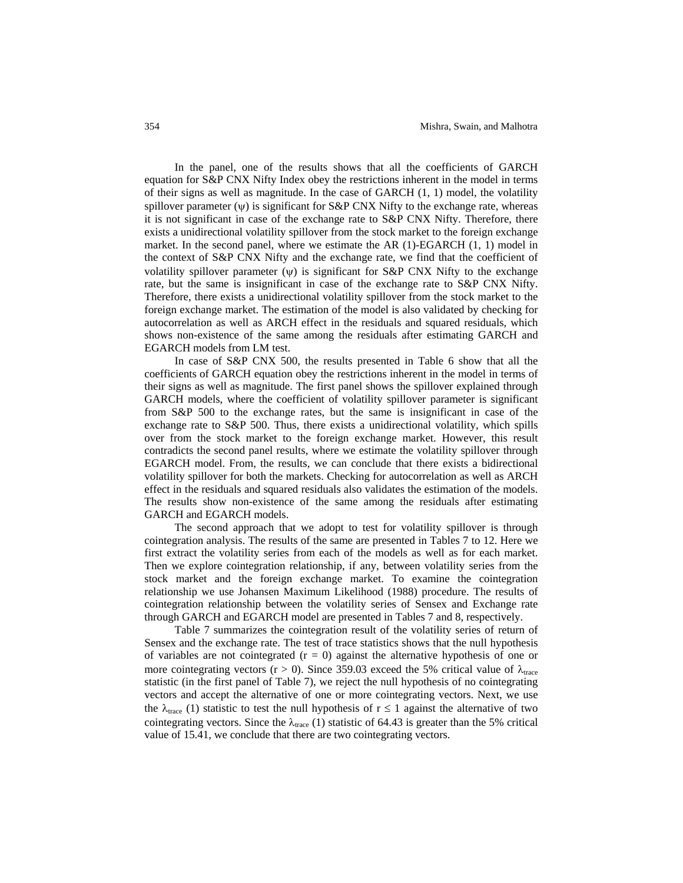In the panel, one of the results shows that all the coefficients of GARCH equation for S&P CNX Nifty Index obey the restrictions inherent in the model in terms of their signs as well as magnitude. In the case of GARCH (1, 1) model, the volatility spillover parameter  $(\psi)$  is significant for S&P CNX Nifty to the exchange rate, whereas it is not significant in case of the exchange rate to S&P CNX Nifty. Therefore, there exists a unidirectional volatility spillover from the stock market to the foreign exchange market. In the second panel, where we estimate the AR (1)-EGARCH (1, 1) model in the context of S&P CNX Nifty and the exchange rate, we find that the coefficient of volatility spillover parameter  $(\psi)$  is significant for S&P CNX Nifty to the exchange rate, but the same is insignificant in case of the exchange rate to S&P CNX Nifty. Therefore, there exists a unidirectional volatility spillover from the stock market to the foreign exchange market. The estimation of the model is also validated by checking for autocorrelation as well as ARCH effect in the residuals and squared residuals, which shows non-existence of the same among the residuals after estimating GARCH and EGARCH models from LM test.

In case of S&P CNX 500, the results presented in Table 6 show that all the coefficients of GARCH equation obey the restrictions inherent in the model in terms of their signs as well as magnitude. The first panel shows the spillover explained through GARCH models, where the coefficient of volatility spillover parameter is significant from S&P 500 to the exchange rates, but the same is insignificant in case of the exchange rate to S&P 500. Thus, there exists a unidirectional volatility, which spills over from the stock market to the foreign exchange market. However, this result contradicts the second panel results, where we estimate the volatility spillover through EGARCH model. From, the results, we can conclude that there exists a bidirectional volatility spillover for both the markets. Checking for autocorrelation as well as ARCH effect in the residuals and squared residuals also validates the estimation of the models. The results show non-existence of the same among the residuals after estimating GARCH and EGARCH models.

The second approach that we adopt to test for volatility spillover is through cointegration analysis. The results of the same are presented in Tables 7 to 12. Here we first extract the volatility series from each of the models as well as for each market. Then we explore cointegration relationship, if any, between volatility series from the stock market and the foreign exchange market. To examine the cointegration relationship we use Johansen Maximum Likelihood (1988) procedure. The results of cointegration relationship between the volatility series of Sensex and Exchange rate through GARCH and EGARCH model are presented in Tables 7 and 8, respectively.

Table 7 summarizes the cointegration result of the volatility series of return of Sensex and the exchange rate. The test of trace statistics shows that the null hypothesis of variables are not cointegrated  $(r = 0)$  against the alternative hypothesis of one or more cointegrating vectors (r > 0). Since 359.03 exceed the 5% critical value of  $\lambda_{\text{trace}}$ statistic (in the first panel of Table 7), we reject the null hypothesis of no cointegrating vectors and accept the alternative of one or more cointegrating vectors. Next, we use the  $\lambda_{\text{trace}}$  (1) statistic to test the null hypothesis of  $r \le 1$  against the alternative of two cointegrating vectors. Since the  $\lambda_{\text{trace}}$  (1) statistic of 64.43 is greater than the 5% critical value of 15.41, we conclude that there are two cointegrating vectors.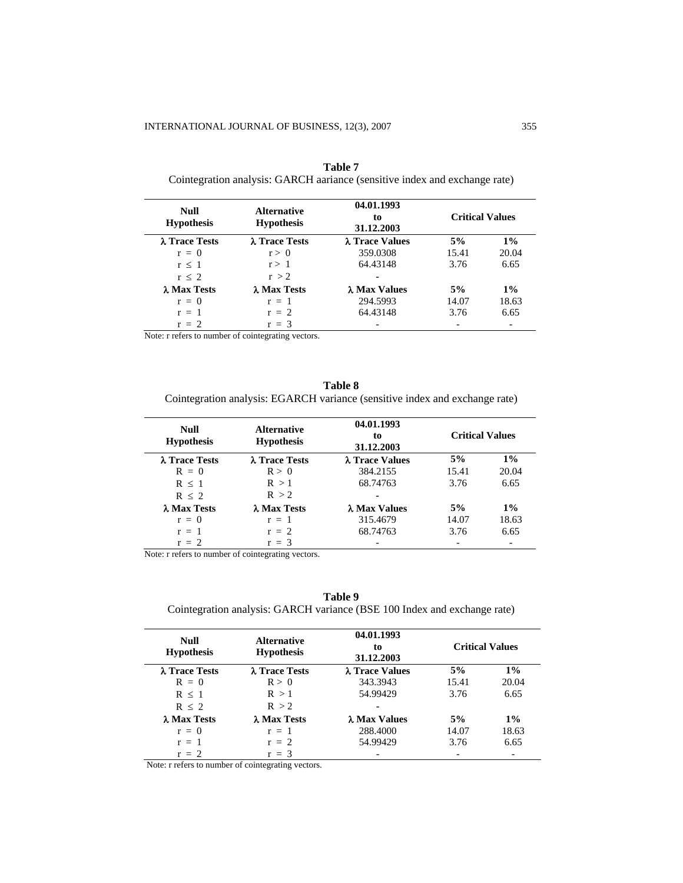| Null<br><b>Hypothesis</b> | <b>Alternative</b><br><b>Hypothesis</b> | 04.01.1993<br>to<br>31.12.2003 |       | <b>Critical Values</b>   |
|---------------------------|-----------------------------------------|--------------------------------|-------|--------------------------|
| λ Trace Tests             | λ Trace Tests                           | λ Trace Values                 | 5%    | $1\%$                    |
| $r = 0$                   | r > 0                                   | 359.0308                       | 15.41 | 20.04                    |
| r < 1                     | r > 1                                   | 64.43148                       | 3.76  | 6.65                     |
| $r \leq 2$                | r > 2                                   | ۰                              |       |                          |
| λ Max Tests               | λ Max Tests                             | λ Max Values                   | 5%    | $1\%$                    |
| $r = 0$                   | $r = 1$                                 | 294.5993                       | 14.07 | 18.63                    |
| $r = 1$                   | $r = 2$                                 | 64.43148                       | 3.76  | 6.65                     |
| $r = 2$                   | $r = 3$                                 |                                |       | $\overline{\phantom{0}}$ |

| <b>Table 7</b>                                                             |
|----------------------------------------------------------------------------|
| Cointegration analysis: GARCH aariance (sensitive index and exchange rate) |

Note: r refers to number of cointegrating vectors.

**Table 8**  Cointegration analysis: EGARCH variance (sensitive index and exchange rate)

| <b>Null</b><br><b>Hypothesis</b> | <b>Alternative</b><br><b>Hypothesis</b> | 04.01.1993<br>to<br>31.12.2003 | <b>Critical Values</b> |       |
|----------------------------------|-----------------------------------------|--------------------------------|------------------------|-------|
| λ Trace Tests                    | λ Trace Tests                           | λ Trace Values                 | 5%                     | $1\%$ |
| $R = 0$                          | R > 0                                   | 384.2155                       | 15.41                  | 20.04 |
| $R \leq 1$                       | R > 1                                   | 68.74763                       | 3.76                   | 6.65  |
| $R \leq 2$                       | R > 2                                   |                                |                        |       |
| λ Max Tests                      | λ Max Tests                             | λ Max Values                   | 5%                     | $1\%$ |
| $r = 0$                          | $r = 1$                                 | 315.4679                       | 14.07                  | 18.63 |
| $r = 1$                          | $r = 2$                                 | 68.74763                       | 3.76                   | 6.65  |
| $r = 2$                          | $r = 3$                                 |                                |                        |       |

Note: r refers to number of cointegrating vectors.

**Table 9** 

Cointegration analysis: GARCH variance (BSE 100 Index and exchange rate)

| <b>Null</b><br><b>Hypothesis</b> | <b>Alternative</b><br><b>Hypothesis</b> | 04.01.1993<br>to<br>31.12.2003 |       | <b>Critical Values</b> |
|----------------------------------|-----------------------------------------|--------------------------------|-------|------------------------|
| λ Trace Tests                    | λ Trace Tests                           | λ Trace Values                 | 5%    | $1\%$                  |
| $R = 0$                          | R > 0                                   | 343.3943                       | 15.41 | 20.04                  |
| R < 1                            | R > 1                                   | 54.99429                       | 3.76  | 6.65                   |
| $R \leq 2$                       | R > 2                                   |                                |       |                        |
| λ Max Tests                      | λ Max Tests                             | λ Max Values                   | 5%    | $1\%$                  |
| $r = 0$                          | $r = 1$                                 | 288.4000                       | 14.07 | 18.63                  |
| $r = 1$                          | $r = 2$                                 | 54.99429                       | 3.76  | 6.65                   |
| $r = 2$                          | $r = 3$                                 |                                |       |                        |

Note: r refers to number of cointegrating vectors.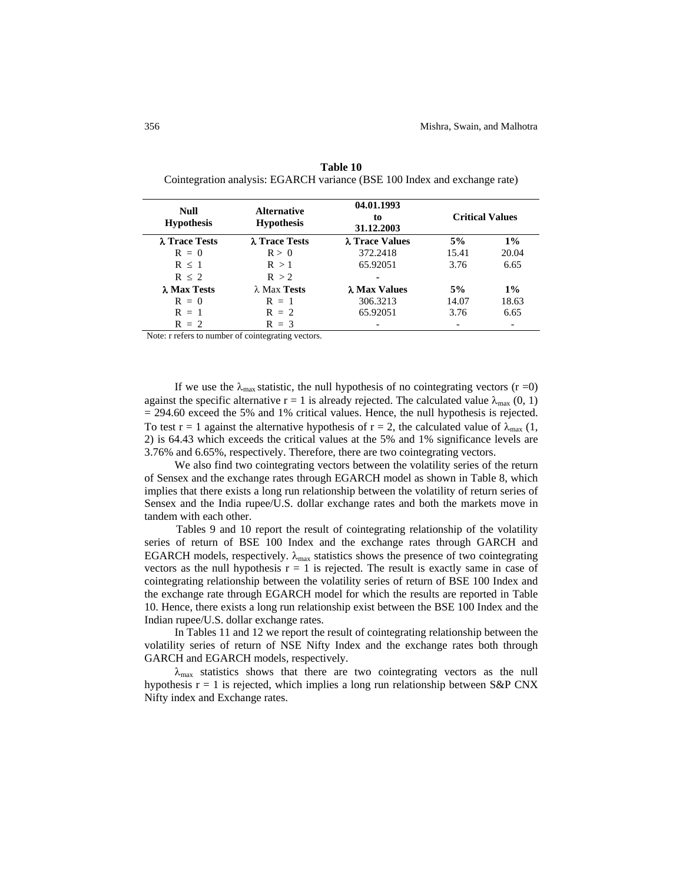| Null<br><b>Hypothesis</b> | <b>Alternative</b><br><b>Hypothesis</b> | 04.01.1993<br>to<br>31.12.2003 | <b>Critical Values</b> |       |
|---------------------------|-----------------------------------------|--------------------------------|------------------------|-------|
| λ Trace Tests             | λ Trace Tests                           | λ Trace Values                 | 5%                     | $1\%$ |
| $R = 0$                   | R > 0                                   | 372.2418                       | 15.41                  | 20.04 |
| $R \leq 1$                | R > 1                                   | 65.92051                       | 3.76                   | 6.65  |
| $R \leq 2$                | R > 2                                   | ۰                              |                        |       |
| λ Max Tests               | $\lambda$ Max Tests                     | λ Max Values                   | 5%                     | $1\%$ |
| $R = 0$                   | $R = 1$                                 | 306.3213                       | 14.07                  | 18.63 |
| $R = 1$                   | $R = 2$                                 | 65.92051                       | 3.76                   | 6.65  |
| $R = 2$                   | $R = 3$                                 |                                |                        |       |

**Table 10**  Cointegration analysis: EGARCH variance (BSE 100 Index and exchange rate)

Note: r refers to number of cointegrating vectors.

If we use the  $\lambda_{\text{max}}$  statistic, the null hypothesis of no cointegrating vectors (r =0) against the specific alternative r = 1 is already rejected. The calculated value  $\lambda_{\text{max}}$  (0, 1) = 294.60 exceed the 5% and 1% critical values. Hence, the null hypothesis is rejected. To test r = 1 against the alternative hypothesis of r = 2, the calculated value of  $\lambda_{\text{max}}$  (1, 2) is 64.43 which exceeds the critical values at the 5% and 1% significance levels are 3.76% and 6.65%, respectively. Therefore, there are two cointegrating vectors.

We also find two cointegrating vectors between the volatility series of the return of Sensex and the exchange rates through EGARCH model as shown in Table 8, which implies that there exists a long run relationship between the volatility of return series of Sensex and the India rupee/U.S. dollar exchange rates and both the markets move in tandem with each other.

Tables 9 and 10 report the result of cointegrating relationship of the volatility series of return of BSE 100 Index and the exchange rates through GARCH and EGARCH models, respectively.  $\lambda_{\text{max}}$  statistics shows the presence of two cointegrating vectors as the null hypothesis  $r = 1$  is rejected. The result is exactly same in case of cointegrating relationship between the volatility series of return of BSE 100 Index and the exchange rate through EGARCH model for which the results are reported in Table 10. Hence, there exists a long run relationship exist between the BSE 100 Index and the Indian rupee/U.S. dollar exchange rates.

In Tables 11 and 12 we report the result of cointegrating relationship between the volatility series of return of NSE Nifty Index and the exchange rates both through GARCH and EGARCH models, respectively.

 $\lambda_{\text{max}}$  statistics shows that there are two cointegrating vectors as the null hypothesis  $r = 1$  is rejected, which implies a long run relationship between S&P CNX Nifty index and Exchange rates.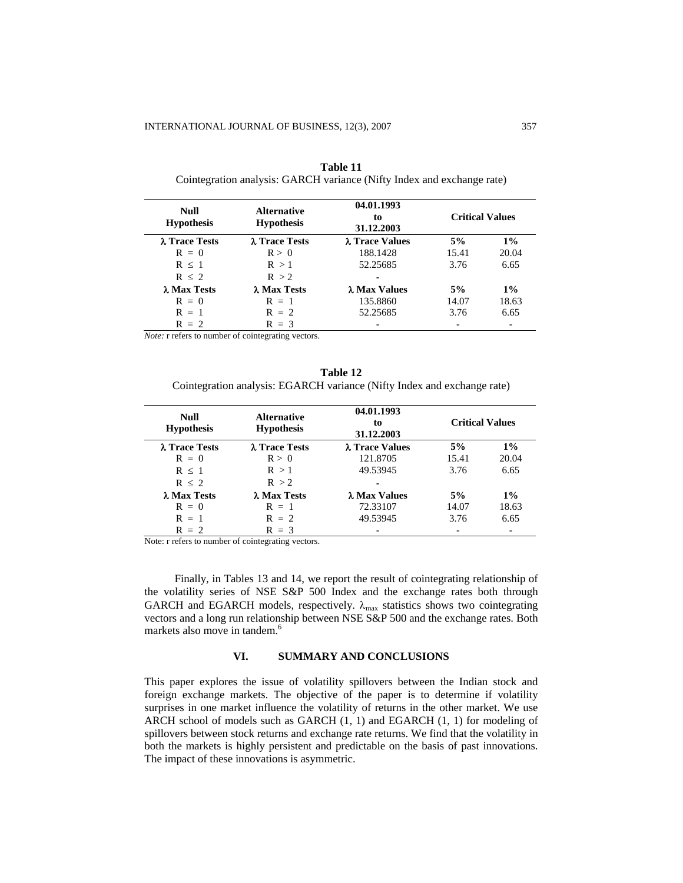| Null<br><b>Hypothesis</b> | <b>Alternative</b><br><b>Hypothesis</b> | 04.01.1993<br>to<br>31.12.2003 | <b>Critical Values</b> |       |
|---------------------------|-----------------------------------------|--------------------------------|------------------------|-------|
| λ Trace Tests             | λ Trace Tests                           | λ Trace Values                 | 5%                     | $1\%$ |
| $R = 0$                   | R > 0                                   | 188.1428                       | 15.41                  | 20.04 |
| R < 1                     | R > 1                                   | 52.25685                       | 3.76                   | 6.65  |
| R < 2                     | R > 2                                   | ۰                              |                        |       |
| λ Max Tests               | λ Max Tests                             | λ Max Values                   | 5%                     | $1\%$ |
| $R = 0$                   | $R = 1$                                 | 135.8860                       | 14.07                  | 18.63 |
| $R = 1$                   | $R = 2$                                 | 52.25685                       | 3.76                   | 6.65  |
| $R = 2$                   | $R = 3$                                 |                                |                        |       |

**Table 11**  Cointegration analysis: GARCH variance (Nifty Index and exchange rate)

*Note:* r refers to number of cointegrating vectors.

# **Table 12**  Cointegration analysis: EGARCH variance (Nifty Index and exchange rate)

| Null<br><b>Hypothesis</b> | <b>Alternative</b><br><b>Hypothesis</b> | 04.01.1993<br>to<br>31.12.2003 | <b>Critical Values</b> |       |
|---------------------------|-----------------------------------------|--------------------------------|------------------------|-------|
| λ Trace Tests             | λ Trace Tests                           | λ Trace Values                 | 5%                     | $1\%$ |
| $R = 0$                   | R > 0                                   | 121.8705                       | 15.41                  | 20.04 |
| R < 1                     | R > 1                                   | 49.53945                       | 3.76                   | 6.65  |
| R < 2                     | R > 2                                   |                                |                        |       |
| λ Max Tests               | λ Max Tests                             | λ Max Values                   | 5%                     | $1\%$ |
| $R = 0$                   | $R = 1$                                 | 72.33107                       | 14.07                  | 18.63 |
| $R = 1$                   | $R = 2$                                 | 49.53945                       | 3.76                   | 6.65  |
| $R = 2$                   | $R = 3$                                 |                                |                        |       |

Note: r refers to number of cointegrating vectors.

Finally, in Tables 13 and 14, we report the result of cointegrating relationship of the volatility series of NSE S&P 500 Index and the exchange rates both through GARCH and EGARCH models, respectively.  $\lambda_{\text{max}}$  statistics shows two cointegrating vectors and a long run relationship between NSE S&P 500 and the exchange rates. Both markets also move in tandem.<sup>6</sup>

# **VI. SUMMARY AND CONCLUSIONS**

This paper explores the issue of volatility spillovers between the Indian stock and foreign exchange markets. The objective of the paper is to determine if volatility surprises in one market influence the volatility of returns in the other market. We use ARCH school of models such as GARCH  $(1, 1)$  and EGARCH  $(1, 1)$  for modeling of spillovers between stock returns and exchange rate returns. We find that the volatility in both the markets is highly persistent and predictable on the basis of past innovations. The impact of these innovations is asymmetric.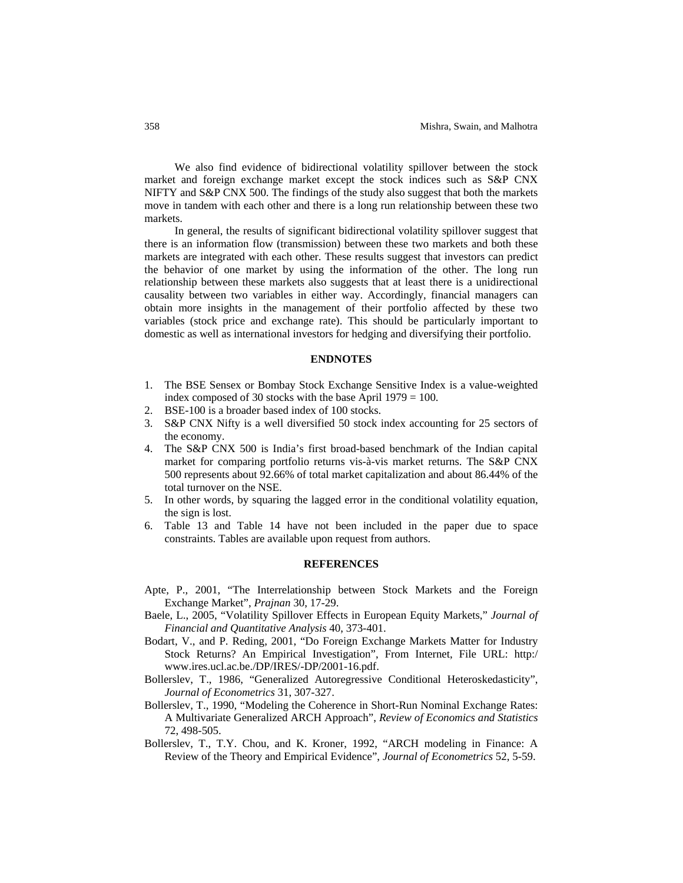We also find evidence of bidirectional volatility spillover between the stock market and foreign exchange market except the stock indices such as S&P CNX NIFTY and S&P CNX 500. The findings of the study also suggest that both the markets move in tandem with each other and there is a long run relationship between these two markets.

In general, the results of significant bidirectional volatility spillover suggest that there is an information flow (transmission) between these two markets and both these markets are integrated with each other. These results suggest that investors can predict the behavior of one market by using the information of the other. The long run relationship between these markets also suggests that at least there is a unidirectional causality between two variables in either way. Accordingly, financial managers can obtain more insights in the management of their portfolio affected by these two variables (stock price and exchange rate). This should be particularly important to domestic as well as international investors for hedging and diversifying their portfolio.

#### **ENDNOTES**

- 1. The BSE Sensex or Bombay Stock Exchange Sensitive Index is a value-weighted index composed of 30 stocks with the base April 1979 = 100.
- 2. BSE-100 is a broader based index of 100 stocks.
- 3. S&P CNX Nifty is a well diversified 50 stock index accounting for 25 sectors of the economy.
- 4. The S&P CNX 500 is India's first broad-based benchmark of the Indian capital market for comparing portfolio returns vis-à-vis market returns. The S&P CNX 500 represents about 92.66% of total market capitalization and about 86.44% of the total turnover on the NSE.
- 5. In other words, by squaring the lagged error in the conditional volatility equation, the sign is lost.
- 6. Table 13 and Table 14 have not been included in the paper due to space constraints. Tables are available upon request from authors.

#### **REFERENCES**

- Apte, P., 2001, "The Interrelationship between Stock Markets and the Foreign Exchange Market", *Prajnan* 30, 17-29.
- Baele, L., 2005, "Volatility Spillover Effects in European Equity Markets," *Journal of Financial and Quantitative Analysis* 40, 373-401.
- Bodart, V., and P. Reding, 2001, "Do Foreign Exchange Markets Matter for Industry Stock Returns? An Empirical Investigation", From Internet, File URL: http:/ www.ires.ucl.ac.be./DP/IRES/-DP/2001-16.pdf.
- Bollerslev, T., 1986, "Generalized Autoregressive Conditional Heteroskedasticity", *Journal of Econometrics* 31, 307-327.
- Bollerslev, T., 1990, "Modeling the Coherence in Short-Run Nominal Exchange Rates: A Multivariate Generalized ARCH Approach", *Review of Economics and Statistics*  72, 498-505.
- Bollerslev, T., T.Y. Chou, and K. Kroner, 1992, "ARCH modeling in Finance: A Review of the Theory and Empirical Evidence", *Journal of Econometrics* 52, 5-59.